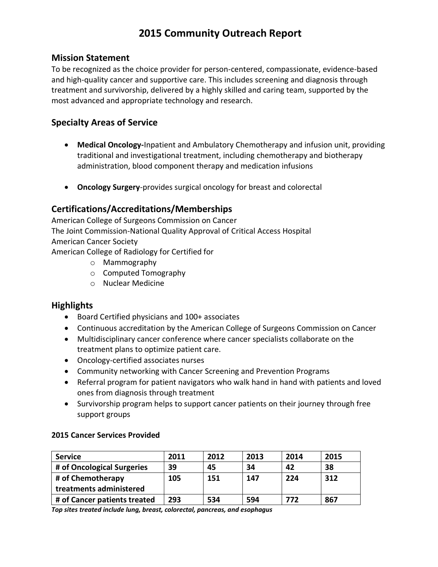# **2015 Community Outreach Report**

#### **Mission Statement**

To be recognized as the choice provider for person-centered, compassionate, evidence-based and high-quality cancer and supportive care. This includes screening and diagnosis through treatment and survivorship, delivered by a highly skilled and caring team, supported by the most advanced and appropriate technology and research.

### **Specialty Areas of Service**

- **Medical Oncology-**Inpatient and Ambulatory Chemotherapy and infusion unit, providing traditional and investigational treatment, including chemotherapy and biotherapy administration, blood component therapy and medication infusions
- **Oncology Surgery**-provides surgical oncology for breast and colorectal

## **Certifications/Accreditations/Memberships**

American College of Surgeons Commission on Cancer The Joint Commission-National Quality Approval of Critical Access Hospital American Cancer Society American College of Radiology for Certified for

- o Mammography
- o Computed Tomography
- o Nuclear Medicine

### **Highlights**

- Board Certified physicians and 100+ associates
- Continuous accreditation by the American College of Surgeons Commission on Cancer
- Multidisciplinary cancer conference where cancer specialists collaborate on the treatment plans to optimize patient care.
- Oncology-certified associates nurses
- Community networking with Cancer Screening and Prevention Programs
- Referral program for patient navigators who walk hand in hand with patients and loved ones from diagnosis through treatment
- Survivorship program helps to support cancer patients on their journey through free support groups

#### **2015 Cancer Services Provided**

| <b>Service</b>               | 2011 | 2012 | 2013 | 2014 | 2015 |
|------------------------------|------|------|------|------|------|
| # of Oncological Surgeries   | 39   | 45   | 34   | 42   | 38   |
| # of Chemotherapy            | 105  | 151  | 147  | 224  | 312  |
| treatments administered      |      |      |      |      |      |
| # of Cancer patients treated | 293  | 534  | 594  | 772  | 867  |

*Top sites treated include lung, breast, colorectal, pancreas, and esophagus*